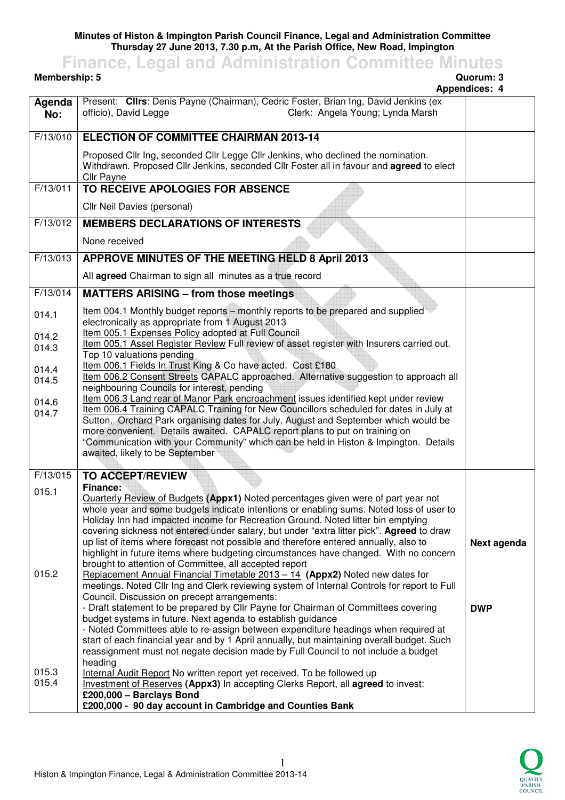**Minutes of Histon & Impington Parish Council Finance, Legal and Administration Committee Thursday 27 June 2013, 7.30 p.m, At the Parish Office, New Road, Impington** 

**Membership: 5** 

**Finance, Legal and Administration Committee Minutes**

## **Appendices: 4 Agenda No:**  Present: **Cllrs**: Denis Payne (Chairman), Cedric Foster, Brian Ing, David Jenkins (ex officio), David Legge Clerk: Angela Young; Lynda Marsh F/13/010 **ELECTION OF COMMITTEE CHAIRMAN 2013-14** Proposed Cllr Ing, seconded Cllr Legge Cllr Jenkins, who declined the nomination. Withdrawn. Proposed Cllr Jenkins, seconded Cllr Foster all in favour and **agreed** to elect Cllr Payne F/13/011 **TO RECEIVE APOLOGIES FOR ABSENCE** Cllr Neil Davies (personal) F/13/012 **MEMBERS DECLARATIONS OF INTERESTS** None received F/13/013 **APPROVE MINUTES OF THE MEETING HELD 8 April 2013** All **agreed** Chairman to sign all minutes as a true record F/13/014 014.1 014.2 014.3 014.4 014.5 014.6 014.7 **MATTERS ARISING – from those meetings** Item 004.1 Monthly budget reports – monthly reports to be prepared and supplied electronically as appropriate from 1 August 2013 Item 005.1 Expenses Policy adopted at Full Council Item 005.1 Asset Register Review Full review of asset register with Insurers carried out. Top 10 valuations pending Item 006.1 Fields In Trust King & Co have acted. Cost £180 Item 006.2 Consent Streets CAPALC approached. Alternative suggestion to approach all neighbouring Councils for interest, pending Item 006.3 Land rear of Manor Park encroachment issues identified kept under review Item 006.4 Training CAPALC Training for New Councillors scheduled for dates in July at Sutton. Orchard Park organising dates for July, August and September which would be more convenient. Details awaited. CAPALC report plans to put on training on "Communication with your Community" which can be held in Histon & Impington. Details awaited, likely to be September F/13/015 015.1 015.2 015.3 015.4 **TO ACCEPT/REVIEW Finance:**  Quarterly Review of Budgets **(Appx1)** Noted percentages given were of part year not whole year and some budgets indicate intentions or enabling sums. Noted loss of user to Holiday Inn had impacted income for Recreation Ground. Noted litter bin emptying covering sickness not entered under salary, but under "extra litter pick". **Agreed** to draw up list of items where forecast not possible and therefore entered annually, also to highlight in future items where budgeting circumstances have changed. With no concern brought to attention of Committee, all accepted report Replacement Annual Financial Timetable 2013 – 14 **(Appx2)** Noted new dates for meetings. Noted Cllr Ing and Clerk reviewing system of Internal Controls for report to Full Council. Discussion on precept arrangements: - Draft statement to be prepared by Cllr Payne for Chairman of Committees covering budget systems in future. Next agenda to establish guidance - Noted Committees able to re-assign between expenditure headings when required at start of each financial year and by 1 April annually, but maintaining overall budget. Such reassignment must not negate decision made by Full Council to not include a budget heading Internal Audit Report No written report yet received. To be followed up Investment of Reserves **(Appx3)** In accepting Clerks Report, all **agreed** to invest: **£200,000 – Barclays Bond £200,000 - 90 day account in Cambridge and Counties Bank Next agenda DWP**